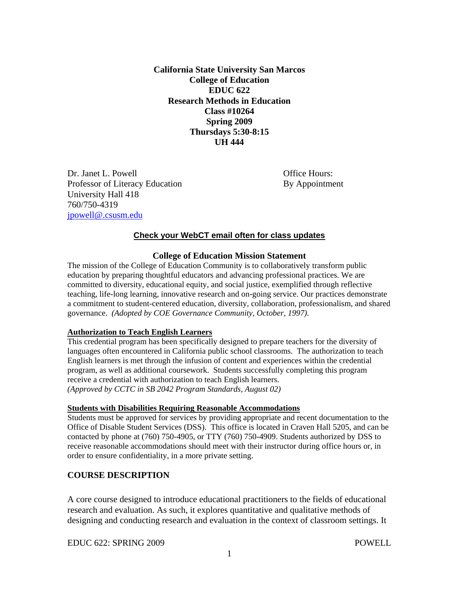**California State University San Marcos College of Education EDUC 622 Research Methods in Education Class #10264 Spring 2009 Thursdays 5:30-8:15 UH 444** 

 University Hall 418 760/750-4319 jpowell@.csusm.edu Dr. Janet L. Powell **Office Hours:** Professor of Literacy Education By Appointment

#### **Check your WebCT email often for class updates**

#### **College of Education Mission Statement**

The mission of the College of Education Community is to collaboratively transform public education by preparing thoughtful educators and advancing professional practices. We are committed to diversity, educational equity, and social justice, exemplified through reflective teaching, life-long learning, innovative research and on-going service. Our practices demonstrate a commitment to student-centered education, diversity, collaboration, professionalism, and shared governance. *(Adopted by COE Governance Community, October, 1997).* 

#### **Authorization to Teach English Learners**

 *(Approved by CCTC in SB 2042 Program Standards, August 02)* This credential program has been specifically designed to prepare teachers for the diversity of languages often encountered in California public school classrooms. The authorization to teach English learners is met through the infusion of content and experiences within the credential program, as well as additional coursework. Students successfully completing this program receive a credential with authorization to teach English learners.

#### **Students with Disabilities Requiring Reasonable Accommodations**

Students must be approved for services by providing appropriate and recent documentation to the Office of Disable Student Services (DSS). This office is located in Craven Hall 5205, and can be contacted by phone at (760) 750-4905, or TTY (760) 750-4909. Students authorized by DSS to receive reasonable accommodations should meet with their instructor during office hours or, in order to ensure confidentiality, in a more private setting.

#### **COURSE DESCRIPTION**

A core course designed to introduce educational practitioners to the fields of educational research and evaluation. As such, it explores quantitative and qualitative methods of designing and conducting research and evaluation in the context of classroom settings. It

EDUC 622: SPRING 2009 POWELL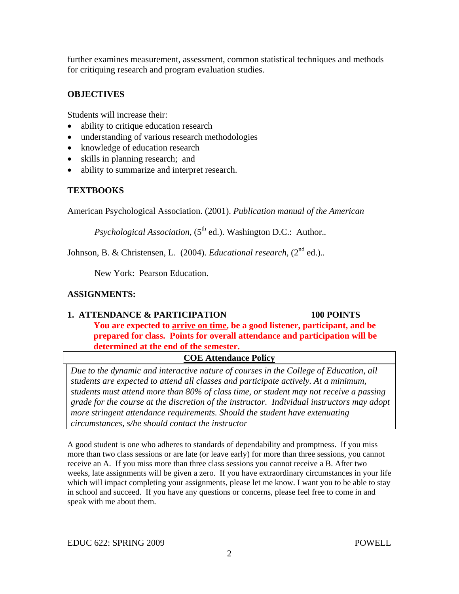further examines measurement, assessment, common statistical techniques and methods for critiquing research and program evaluation studies.

## **OBJECTIVES**

Students will increase their:

- ability to critique education research
- understanding of various research methodologies
- knowledge of education research
- skills in planning research; and
- ability to summarize and interpret research.

## **TEXTBOOKS**

American Psychological Association. (2001). *Publication manual of the American* 

*Psychological Association,* (5<sup>th</sup> ed.). Washington D.C.: Author..

Johnson, B. & Christensen, L. (2004). *Educational research*, (2<sup>nd</sup> ed.)..

New York: Pearson Education.

## **ASSIGNMENTS:**

## **1. ATTENDANCE & PARTICIPATION 100 POINTS You are expected to arrive on time, be a good listener, participant, and be prepared for class. Points for overall attendance and participation will be determined at the end of the semester.**

## **COE Attendance Policy**

*Due to the dynamic and interactive nature of courses in the College of Education, all students are expected to attend all classes and participate actively. At a minimum, students must attend more than 80% of class time, or student may not receive a passing grade for the course at the discretion of the instructor. Individual instructors may adopt more stringent attendance requirements. Should the student have extenuating circumstances, s/he should contact the instructor* 

A good student is one who adheres to standards of dependability and promptness. If you miss more than two class sessions or are late (or leave early) for more than three sessions, you cannot receive an A. If you miss more than three class sessions you cannot receive a B. After two weeks, late assignments will be given a zero. If you have extraordinary circumstances in your life which will impact completing your assignments, please let me know. I want you to be able to stay in school and succeed. If you have any questions or concerns, please feel free to come in and speak with me about them.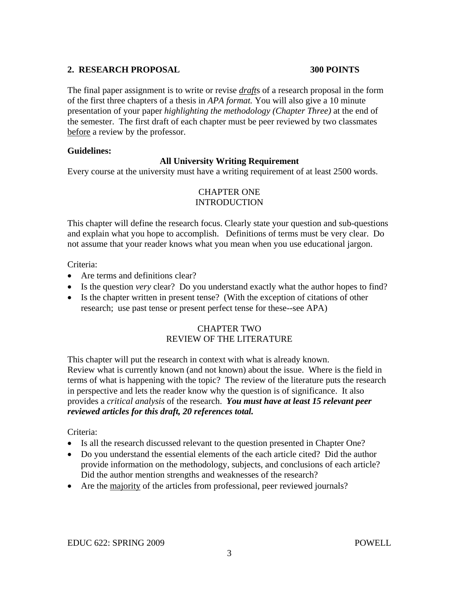## **2. RESEARCH PROPOSAL 300 POINTS**

The final paper assignment is to write or revise *draft*s of a research proposal in the form of the first three chapters of a thesis in *APA format.* You will also give a 10 minute presentation of your paper *highlighting the methodology (Chapter Three)* at the end of the semester. The first draft of each chapter must be peer reviewed by two classmates before a review by the professor.

## **Guidelines:**

## **All University Writing Requirement**

Every course at the university must have a writing requirement of at least 2500 words.

### CHAPTER ONE **INTRODUCTION**

This chapter will define the research focus. Clearly state your question and sub-questions and explain what you hope to accomplish. Definitions of terms must be very clear. Do not assume that your reader knows what you mean when you use educational jargon.

Criteria:

- Are terms and definitions clear?
- Is the question *very* clear? Do you understand exactly what the author hopes to find?
- Is the chapter written in present tense? (With the exception of citations of other research; use past tense or present perfect tense for these--see APA)

## CHAPTER TWO REVIEW OF THE LITERATURE

This chapter will put the research in context with what is already known. Review what is currently known (and not known) about the issue. Where is the field in terms of what is happening with the topic? The review of the literature puts the research in perspective and lets the reader know why the question is of significance. It also provides a *critical analysis* of the research. *You must have at least 15 relevant peer reviewed articles for this draft, 20 references total.* 

## Criteria:

- Is all the research discussed relevant to the question presented in Chapter One?
- provide information on the methodology, subjects, and conclusions of each article? Did the author mention strengths and weaknesses of the research? • Do you understand the essential elements of the each article cited? Did the author
- Are the majority of the articles from professional, peer reviewed journals?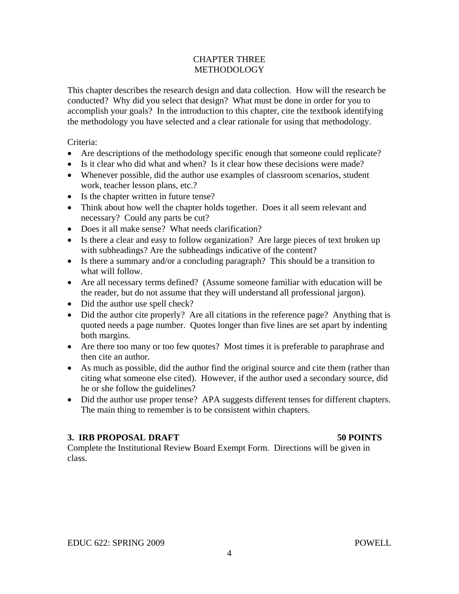## CHAPTER THREE METHODOLOGY

This chapter describes the research design and data collection. How will the research be conducted? Why did you select that design? What must be done in order for you to accomplish your goals? In the introduction to this chapter, cite the textbook identifying the methodology you have selected and a clear rationale for using that methodology.

Criteria:

- Are descriptions of the methodology specific enough that someone could replicate?
- Is it clear who did what and when? Is it clear how these decisions were made?
- Whenever possible, did the author use examples of classroom scenarios, student work, teacher lesson plans, etc.?
- Is the chapter written in future tense?
- Think about how well the chapter holds together. Does it all seem relevant and necessary? Could any parts be cut?
- Does it all make sense? What needs clarification?
- Is there a clear and easy to follow organization? Are large pieces of text broken up with subheadings? Are the subheadings indicative of the content?
- Is there a summary and/or a concluding paragraph? This should be a transition to what will follow.
- Are all necessary terms defined? (Assume someone familiar with education will be the reader, but do not assume that they will understand all professional jargon).
- Did the author use spell check?
- Did the author cite properly? Are all citations in the reference page? Anything that is quoted needs a page number. Quotes longer than five lines are set apart by indenting both margins.
- Are there too many or too few quotes? Most times it is preferable to paraphrase and then cite an author.
- As much as possible, did the author find the original source and cite them (rather than citing what someone else cited). However, if the author used a secondary source, did he or she follow the guidelines?
- Did the author use proper tense? APA suggests different tenses for different chapters. The main thing to remember is to be consistent within chapters.

## **3. IRB PROPOSAL DRAFT**

### **50 POINTS**

Complete the Institutional Review Board Exempt Form. Directions will be given in class.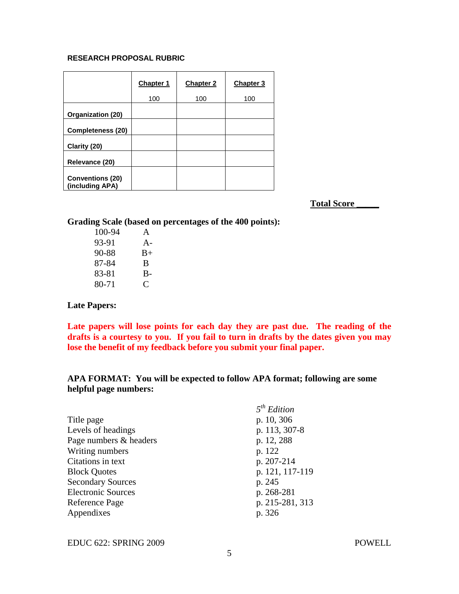#### **RESEARCH PROPOSAL RUBRIC**

|                                            | <b>Chapter 1</b> | Chapter 2 | Chapter 3 |
|--------------------------------------------|------------------|-----------|-----------|
|                                            | 100              | 100       | 100       |
| Organization (20)                          |                  |           |           |
| <b>Completeness (20)</b>                   |                  |           |           |
| Clarity (20)                               |                  |           |           |
| Relevance (20)                             |                  |           |           |
| <b>Conventions (20)</b><br>(including APA) |                  |           |           |

**Total Score \_\_\_\_\_** 

#### **Grading Scale (based on percentages of the 400 points):**

| 100-94 | A            |
|--------|--------------|
| 93-91  | $A -$        |
| 90-88  | $B+$         |
| 87-84  | <sub>R</sub> |
| 83-81  | В-           |
| 80-71  | C            |

#### **Late Papers:**

**Late papers will lose points for each day they are past due. The reading of the drafts is a courtesy to you. If you fail to turn in drafts by the dates given you may lose the benefit of my feedback before you submit your final paper.** 

## **APA FORMAT: You will be expected to follow APA format; following are some helpful page numbers:**

|                           | 5 <sup>th</sup> Edition |
|---------------------------|-------------------------|
| Title page                | p. 10, 306              |
| Levels of headings        | p. 113, 307-8           |
| Page numbers & headers    | p. 12, 288              |
| Writing numbers           | p. 122                  |
| Citations in text         | p. 207-214              |
| <b>Block Quotes</b>       | p. 121, 117-119         |
| <b>Secondary Sources</b>  | p. 245                  |
| <b>Electronic Sources</b> | p. 268-281              |
| Reference Page            | p. 215-281, 313         |
| Appendixes                | p. 326                  |
|                           |                         |

#### EDUC 622: SPRING 2009 POWELL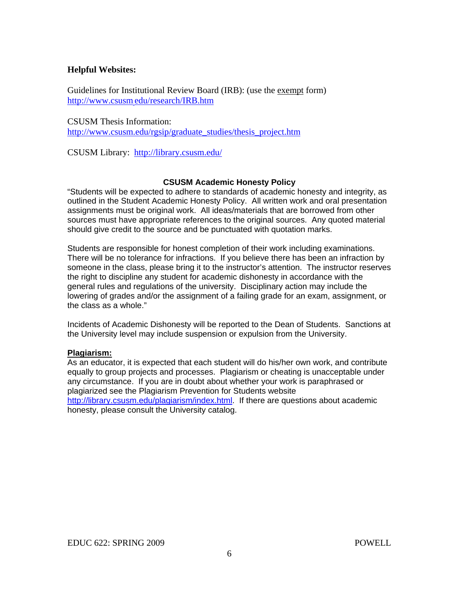### **Helpful Websites:**

http://www.csusm.edu/research/IRB.htm Guidelines for Institutional Review Board (IRB): (use the exempt form)

http://www.csusm.edu/rgsip/graduate\_studies/thesis\_project.htm<br>CSUSM Library: <u>http://library.csusm.edu/</u> CSUSM Thesis Information:

CSUSM Library: http://library.csusm.edu/

### **CSUSM Academic Honesty Policy**

"Students will be expected to adhere to standards of academic honesty and integrity, as outlined in the Student Academic Honesty Policy. All written work and oral presentation assignments must be original work. All ideas/materials that are borrowed from other sources must have appropriate references to the original sources. Any quoted material should give credit to the source and be punctuated with quotation marks.

Students are responsible for honest completion of their work including examinations. There will be no tolerance for infractions. If you believe there has been an infraction by someone in the class, please bring it to the instructor's attention. The instructor reserves the right to discipline any student for academic dishonesty in accordance with the general rules and regulations of the university. Disciplinary action may include the lowering of grades and/or the assignment of a failing grade for an exam, assignment, or the class as a whole."

Incidents of Academic Dishonesty will be reported to the Dean of Students. Sanctions at the University level may include suspension or expulsion from the University.

### **Plagiarism:**

As an educator, it is expected that each student will do his/her own work, and contribute equally to group projects and processes. Plagiarism or cheating is unacceptable under any circumstance. If you are in doubt about whether your work is paraphrased or plagiarized see the Plagiarism Prevention for Students website http://library.csusm.edu/plagiarism/index.html. If there are questions about academic honesty, please consult the University catalog.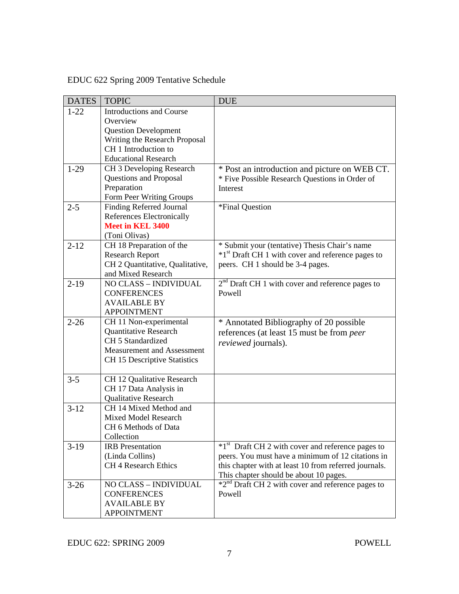# EDUC 622 Spring 2009 Tentative Schedule

| <b>DATES</b> | <b>TOPIC</b>                        | <b>DUE</b>                                                    |
|--------------|-------------------------------------|---------------------------------------------------------------|
| $1-22$       | <b>Introductions and Course</b>     |                                                               |
|              | Overview                            |                                                               |
|              | <b>Question Development</b>         |                                                               |
|              | Writing the Research Proposal       |                                                               |
|              | CH 1 Introduction to                |                                                               |
|              | <b>Educational Research</b>         |                                                               |
| $1-29$       | CH 3 Developing Research            | * Post an introduction and picture on WEB CT.                 |
|              | <b>Questions and Proposal</b>       | * Five Possible Research Questions in Order of                |
|              | Preparation                         | Interest                                                      |
|              | Form Peer Writing Groups            |                                                               |
| $2 - 5$      | <b>Finding Referred Journal</b>     | *Final Question                                               |
|              | References Electronically           |                                                               |
|              | <b>Meet in KEL 3400</b>             |                                                               |
|              | (Toni Olivas)                       |                                                               |
| $2 - 12$     | CH 18 Preparation of the            | * Submit your (tentative) Thesis Chair's name                 |
|              | <b>Research Report</b>              | $*1st$ Draft CH 1 with cover and reference pages to           |
|              | CH 2 Quantitative, Qualitative,     | peers. CH 1 should be 3-4 pages.                              |
|              | and Mixed Research                  |                                                               |
| $2-19$       | NO CLASS - INDIVIDUAL               | $2nd$ Draft CH 1 with cover and reference pages to            |
|              | <b>CONFERENCES</b>                  | Powell                                                        |
|              | <b>AVAILABLE BY</b>                 |                                                               |
|              | <b>APPOINTMENT</b>                  |                                                               |
| $2 - 26$     | CH 11 Non-experimental              | * Annotated Bibliography of 20 possible                       |
|              | <b>Quantitative Research</b>        | references (at least 15 must be from <i>peer</i>              |
|              | CH 5 Standardized                   | <i>reviewed</i> journals).                                    |
|              | <b>Measurement and Assessment</b>   |                                                               |
|              | <b>CH 15 Descriptive Statistics</b> |                                                               |
|              |                                     |                                                               |
| $3 - 5$      | CH 12 Qualitative Research          |                                                               |
|              | CH 17 Data Analysis in              |                                                               |
|              | Qualitative Research                |                                                               |
| $3-12$       | CH 14 Mixed Method and              |                                                               |
|              | <b>Mixed Model Research</b>         |                                                               |
|              | CH 6 Methods of Data                |                                                               |
|              | Collection                          |                                                               |
| $3-19$       | <b>IRB</b> Presentation             | $*1st$ Draft CH 2 with cover and reference pages to           |
|              | (Linda Collins)                     | peers. You must have a minimum of 12 citations in             |
|              | <b>CH 4 Research Ethics</b>         | this chapter with at least 10 from referred journals.         |
|              |                                     | This chapter should be about 10 pages.                        |
|              | <b>NO CLASS - INDIVIDUAL</b>        | *2 <sup>nd</sup> Draft CH 2 with cover and reference pages to |
| $3 - 26$     | <b>CONFERENCES</b>                  | Powell                                                        |
|              |                                     |                                                               |
|              | <b>AVAILABLE BY</b>                 |                                                               |
|              | <b>APPOINTMENT</b>                  |                                                               |